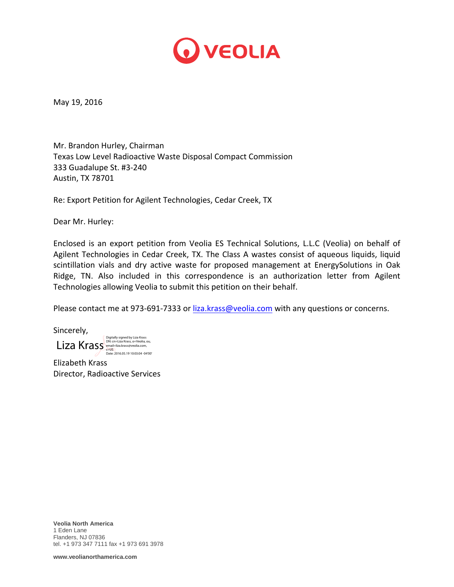

May 19, 2016

Mr. Brandon Hurley, Chairman Texas Low Level Radioactive Waste Disposal Compact Commission 333 Guadalupe St. #3‐240 Austin, TX 78701

Re: Export Petition for Agilent Technologies, Cedar Creek, TX

Dear Mr. Hurley:

Enclosed is an export petition from Veolia ES Technical Solutions, L.L.C (Veolia) on behalf of Agilent Technologies in Cedar Creek, TX. The Class A wastes consist of aqueous liquids, liquid scintillation vials and dry active waste for proposed management at EnergySolutions in Oak Ridge, TN. Also included in this correspondence is an authorization letter from Agilent Technologies allowing Veolia to submit this petition on their behalf.

Please contact me at 973-691-7333 or liza.krass@veolia.com with any questions or concerns.

Sincerely,

 $\operatorname{\sf LiZa\,}$ Krass  $\operatorname{\sf S}_{\mathrm{reali}= \textsf{izz} \textsf{k} \textsf{r} \textsf{as} \textsf{p} \textsf{l} \textsf{c} \textsf{v} \textsf{l} \textsf{z} \textsf{a} \textsf{b} \textsf{u}}$ 

Elizabeth Krass Director, Radioactive Services

**Veolia North America**  1 Eden Lane Flanders, NJ 07836 tel. +1 973 347 7111 fax +1 973 691 3978

**www.veolianorthamerica.com**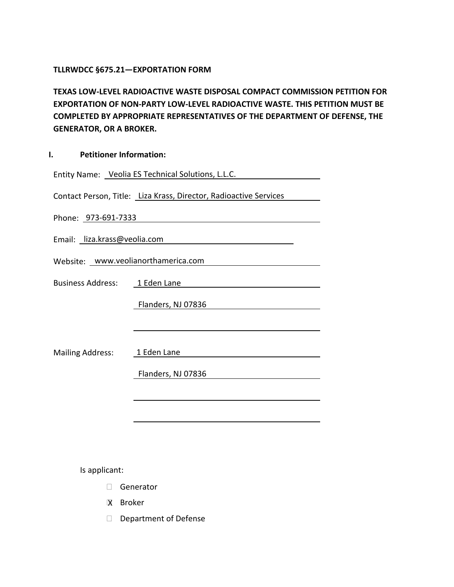### **TLLRWDCC §675.21—EXPORTATION FORM**

**TEXAS LOW-LEVEL RADIOACTIVE WASTE DISPOSAL COMPACT COMMISSION PETITION FOR EXPORTATION OF NON-PARTY LOW-LEVEL RADIOACTIVE WASTE. THIS PETITION MUST BE COMPLETED BY APPROPRIATE REPRESENTATIVES OF THE DEPARTMENT OF DEFENSE, THE GENERATOR, OR A BROKER.**

| I. | <b>Petitioner Information:</b> |  |
|----|--------------------------------|--|
|----|--------------------------------|--|

| Entity Name: Veolia ES Technical Solutions, L.L.C.                |  |  |  |
|-------------------------------------------------------------------|--|--|--|
| Contact Person, Title: Liza Krass, Director, Radioactive Services |  |  |  |
| Phone: 973-691-7333                                               |  |  |  |
| Email: liza.krass@veolia.com                                      |  |  |  |
| Website: www.veolianorthamerica.com                               |  |  |  |
| Business Address: 1 Eden Lane                                     |  |  |  |
| Flanders, NJ 07836                                                |  |  |  |
|                                                                   |  |  |  |
| Mailing Address: 1 Eden Lane                                      |  |  |  |
| Flanders, NJ 07836                                                |  |  |  |
|                                                                   |  |  |  |
|                                                                   |  |  |  |
|                                                                   |  |  |  |

Is applicant:

- Generator
- Broker X
- Department of Defense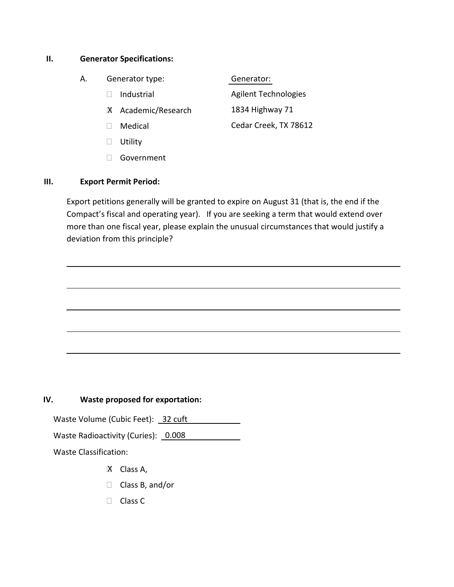### **II. Generator Specifications:**

- A. Generator type:
	- Industrial
	- Academic/Research X
	- Medical
	- **Utility**
	- Government

### **III. Export Permit Period:**

Export petitions generally will be granted to expire on August 31 (that is, the end if the Compact's fiscal and operating year). If you are seeking a term that would extend over more than one fiscal year, please explain the unusual circumstances that would justify a deviation from this principle?

l

l

l

l

l

## **IV. Waste proposed for exportation:**

Waste Volume (Cubic Feet): 32 cuft Waste Radioactivity (Curies): 0.008 Waste Classification:

- X Class A,
- $\Box$  Class B, and/or
- □ Class C

# Generator:

Agilent Technologies 1834 Highway 71 Cedar Creek, TX 78612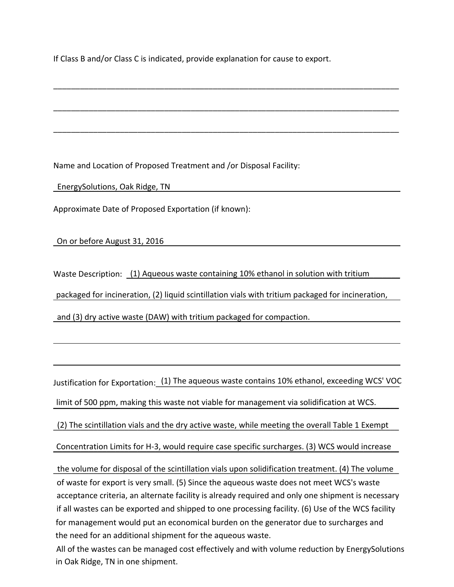If Class B and/or Class C is indicated, provide explanation for cause to export.

\_\_\_\_\_\_\_\_\_\_\_\_\_\_\_\_\_\_\_\_\_\_\_\_\_\_\_\_\_\_\_\_\_\_\_\_\_\_\_\_\_\_\_\_\_\_\_\_\_\_\_\_\_\_\_\_\_\_\_\_\_\_\_\_\_\_\_\_\_\_\_\_\_\_\_\_\_\_

\_\_\_\_\_\_\_\_\_\_\_\_\_\_\_\_\_\_\_\_\_\_\_\_\_\_\_\_\_\_\_\_\_\_\_\_\_\_\_\_\_\_\_\_\_\_\_\_\_\_\_\_\_\_\_\_\_\_\_\_\_\_\_\_\_\_\_\_\_\_\_\_\_\_\_\_\_\_

\_\_\_\_\_\_\_\_\_\_\_\_\_\_\_\_\_\_\_\_\_\_\_\_\_\_\_\_\_\_\_\_\_\_\_\_\_\_\_\_\_\_\_\_\_\_\_\_\_\_\_\_\_\_\_\_\_\_\_\_\_\_\_\_\_\_\_\_\_\_\_\_\_\_\_\_\_\_

Name and Location of Proposed Treatment and /or Disposal Facility:

EnergySolutions, Oak Ridge, TN

Approximate Date of Proposed Exportation (if known):

On or before August 31, 2016

Waste Description: (1) Aqueous waste containing 10% ethanol in solution with tritium packaged for incineration, (2) liquid scintillation vials with tritium packaged for incineration,

and (3) dry active waste (DAW) with tritium packaged for compaction.

l

l

Justification for Exportation: <u>(1) The aqueous waste contains 10% ethanol, exceeding WCS' VOC</u> limit of 500 ppm, making this waste not viable for management via solidification at WCS.

(2) The scintillation vials and the dry active waste, while meeting the overall Table 1 Exempt

Concentration Limits for H-3, would require case specific surcharges. (3) WCS would increase

the volume for disposal of the scintillation vials upon solidification treatment. (4) The volume and (3) dry active waste (DAW) with tritium packaged for compaction.<br>
ustification for Exportation: (1) The aqueous waste contains 10% ethanol, exceeding WCS' VOC<br>
limit of 500 ppm, making this waste not viable for managem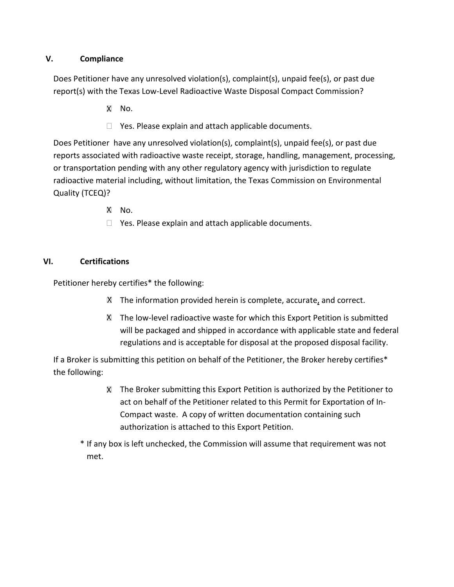## **V. Compliance**

Does Petitioner have any unresolved violation(s), complaint(s), unpaid fee(s), or past due report(s) with the Texas Low-Level Radioactive Waste Disposal Compact Commission?

- X No.
- $\Box$  Yes. Please explain and attach applicable documents.

Does Petitioner have any unresolved violation(s), complaint(s), unpaid fee(s), or past due reports associated with radioactive waste receipt, storage, handling, management, processing, or transportation pending with any other regulatory agency with jurisdiction to regulate radioactive material including, without limitation, the Texas Commission on Environmental Quality (TCEQ)?

- XI No.
- $\Box$  Yes. Please explain and attach applicable documents.

## **VI. Certifications**

Petitioner hereby certifies\* the following:

- X The information provided herein is complete, accurate, and correct.
- The low-level radioactive waste for which this Export Petition is submitted X will be packaged and shipped in accordance with applicable state and federal regulations and is acceptable for disposal at the proposed disposal facility.

If a Broker is submitting this petition on behalf of the Petitioner, the Broker hereby certifies\* the following:

> The Broker submitting this Export Petition is authorized by the Petitioner to Xact on behalf of the Petitioner related to this Permit for Exportation of In-Compact waste. A copy of written documentation containing such authorization is attached to this Export Petition.

\* If any box is left unchecked, the Commission will assume that requirement was not met.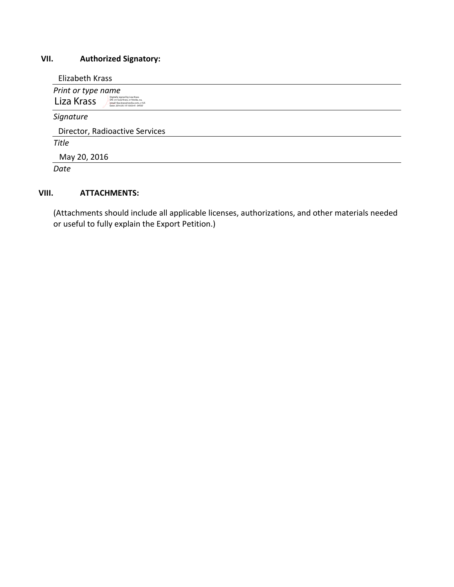# **VII. Authorized Signatory:**

Elizabeth Krass

| Print or type name<br>Digitally signed by Liza Krass<br>Liza Krass<br>DN: cn=Liza Krass, o=Veolia, ou,<br>email=liza.krass@veolia.com, c=US<br>Date: 2016.05.19 10:03:41 -04'00" |  |
|----------------------------------------------------------------------------------------------------------------------------------------------------------------------------------|--|
| Signature                                                                                                                                                                        |  |
| Director, Radioactive Services                                                                                                                                                   |  |
| <b>Title</b>                                                                                                                                                                     |  |
| May 20, 2016                                                                                                                                                                     |  |
| Date                                                                                                                                                                             |  |

# **VIII. ATTACHMENTS:**

(Attachments should include all applicable licenses, authorizations, and other materials needed or useful to fully explain the Export Petition.)